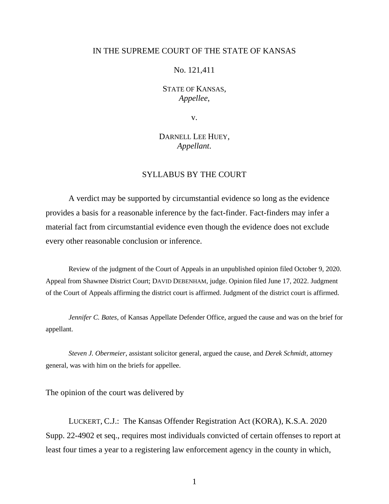### IN THE SUPREME COURT OF THE STATE OF KANSAS

### No. 121,411

## STATE OF KANSAS, *Appellee*,

v.

# DARNELL LEE HUEY, *Appellant*.

## SYLLABUS BY THE COURT

A verdict may be supported by circumstantial evidence so long as the evidence provides a basis for a reasonable inference by the fact-finder. Fact-finders may infer a material fact from circumstantial evidence even though the evidence does not exclude every other reasonable conclusion or inference.

Review of the judgment of the Court of Appeals in an unpublished opinion filed October 9, 2020. Appeal from Shawnee District Court; DAVID DEBENHAM, judge. Opinion filed June 17, 2022. Judgment of the Court of Appeals affirming the district court is affirmed. Judgment of the district court is affirmed.

*Jennifer C. Bates*, of Kansas Appellate Defender Office, argued the cause and was on the brief for appellant.

*Steven J. Obermeier*, assistant solicitor general, argued the cause, and *Derek Schmidt*, attorney general, was with him on the briefs for appellee.

The opinion of the court was delivered by

LUCKERT, C.J.: The Kansas Offender Registration Act (KORA), K.S.A. 2020 Supp. 22-4902 et seq., requires most individuals convicted of certain offenses to report at least four times a year to a registering law enforcement agency in the county in which,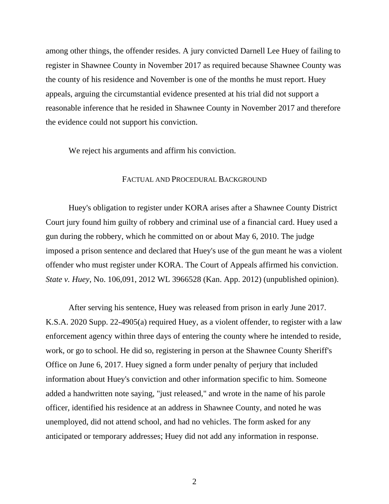among other things, the offender resides. A jury convicted Darnell Lee Huey of failing to register in Shawnee County in November 2017 as required because Shawnee County was the county of his residence and November is one of the months he must report. Huey appeals, arguing the circumstantial evidence presented at his trial did not support a reasonable inference that he resided in Shawnee County in November 2017 and therefore the evidence could not support his conviction.

We reject his arguments and affirm his conviction.

### FACTUAL AND PROCEDURAL BACKGROUND

Huey's obligation to register under KORA arises after a Shawnee County District Court jury found him guilty of robbery and criminal use of a financial card. Huey used a gun during the robbery, which he committed on or about May 6, 2010. The judge imposed a prison sentence and declared that Huey's use of the gun meant he was a violent offender who must register under KORA. The Court of Appeals affirmed his conviction. *State v. Huey*, No. 106,091, 2012 WL 3966528 (Kan. App. 2012) (unpublished opinion).

After serving his sentence, Huey was released from prison in early June 2017. K.S.A. 2020 Supp. 22-4905(a) required Huey, as a violent offender, to register with a law enforcement agency within three days of entering the county where he intended to reside, work, or go to school. He did so, registering in person at the Shawnee County Sheriff's Office on June 6, 2017. Huey signed a form under penalty of perjury that included information about Huey's conviction and other information specific to him. Someone added a handwritten note saying, "just released," and wrote in the name of his parole officer, identified his residence at an address in Shawnee County, and noted he was unemployed, did not attend school, and had no vehicles. The form asked for any anticipated or temporary addresses; Huey did not add any information in response.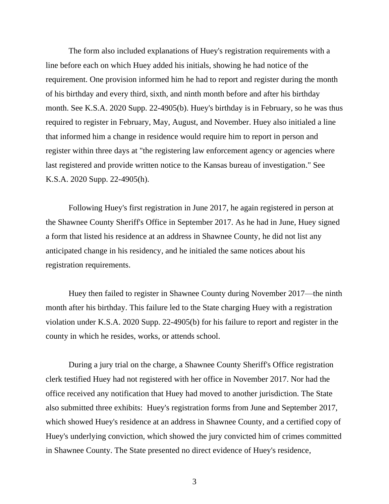The form also included explanations of Huey's registration requirements with a line before each on which Huey added his initials, showing he had notice of the requirement. One provision informed him he had to report and register during the month of his birthday and every third, sixth, and ninth month before and after his birthday month. See K.S.A. 2020 Supp. 22-4905(b). Huey's birthday is in February, so he was thus required to register in February, May, August, and November. Huey also initialed a line that informed him a change in residence would require him to report in person and register within three days at "the registering law enforcement agency or agencies where last registered and provide written notice to the Kansas bureau of investigation." See K.S.A. 2020 Supp. 22-4905(h).

Following Huey's first registration in June 2017, he again registered in person at the Shawnee County Sheriff's Office in September 2017. As he had in June, Huey signed a form that listed his residence at an address in Shawnee County, he did not list any anticipated change in his residency, and he initialed the same notices about his registration requirements.

Huey then failed to register in Shawnee County during November 2017—the ninth month after his birthday. This failure led to the State charging Huey with a registration violation under K.S.A. 2020 Supp. 22-4905(b) for his failure to report and register in the county in which he resides, works, or attends school.

During a jury trial on the charge, a Shawnee County Sheriff's Office registration clerk testified Huey had not registered with her office in November 2017. Nor had the office received any notification that Huey had moved to another jurisdiction. The State also submitted three exhibits: Huey's registration forms from June and September 2017, which showed Huey's residence at an address in Shawnee County, and a certified copy of Huey's underlying conviction, which showed the jury convicted him of crimes committed in Shawnee County. The State presented no direct evidence of Huey's residence,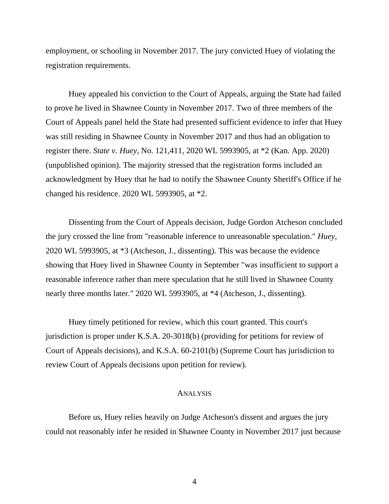employment, or schooling in November 2017. The jury convicted Huey of violating the registration requirements.

Huey appealed his conviction to the Court of Appeals, arguing the State had failed to prove he lived in Shawnee County in November 2017. Two of three members of the Court of Appeals panel held the State had presented sufficient evidence to infer that Huey was still residing in Shawnee County in November 2017 and thus had an obligation to register there. *State v. Huey*, No. 121,411, 2020 WL 5993905, at \*2 (Kan. App. 2020) (unpublished opinion). The majority stressed that the registration forms included an acknowledgment by Huey that he had to notify the Shawnee County Sheriff's Office if he changed his residence. 2020 WL 5993905, at \*2.

Dissenting from the Court of Appeals decision, Judge Gordon Atcheson concluded the jury crossed the line from "reasonable inference to unreasonable speculation." *Huey*, 2020 WL 5993905, at \*3 (Atcheson, J., dissenting). This was because the evidence showing that Huey lived in Shawnee County in September "was insufficient to support a reasonable inference rather than mere speculation that he still lived in Shawnee County nearly three months later." 2020 WL 5993905, at \*4 (Atcheson, J., dissenting).

Huey timely petitioned for review, which this court granted. This court's jurisdiction is proper under K.S.A. 20-3018(b) (providing for petitions for review of Court of Appeals decisions), and K.S.A. 60-2101(b) (Supreme Court has jurisdiction to review Court of Appeals decisions upon petition for review).

#### ANALYSIS

Before us, Huey relies heavily on Judge Atcheson's dissent and argues the jury could not reasonably infer he resided in Shawnee County in November 2017 just because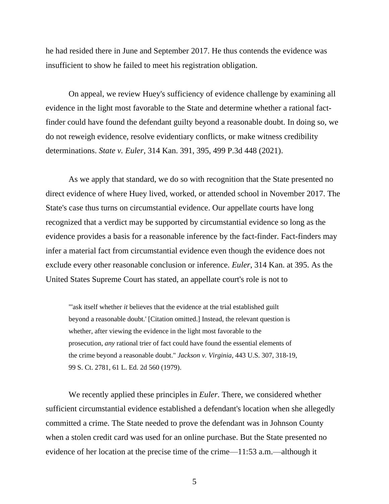he had resided there in June and September 2017. He thus contends the evidence was insufficient to show he failed to meet his registration obligation.

On appeal, we review Huey's sufficiency of evidence challenge by examining all evidence in the light most favorable to the State and determine whether a rational factfinder could have found the defendant guilty beyond a reasonable doubt. In doing so, we do not reweigh evidence, resolve evidentiary conflicts, or make witness credibility determinations. *State v. Euler*, 314 Kan. 391, 395, 499 P.3d 448 (2021).

As we apply that standard, we do so with recognition that the State presented no direct evidence of where Huey lived, worked, or attended school in November 2017. The State's case thus turns on circumstantial evidence. Our appellate courts have long recognized that a verdict may be supported by circumstantial evidence so long as the evidence provides a basis for a reasonable inference by the fact-finder. Fact-finders may infer a material fact from circumstantial evidence even though the evidence does not exclude every other reasonable conclusion or inference. *Euler*, 314 Kan. at 395. As the United States Supreme Court has stated, an appellate court's role is not to

"'ask itself whether *it* believes that the evidence at the trial established guilt beyond a reasonable doubt.' [Citation omitted.] Instead, the relevant question is whether, after viewing the evidence in the light most favorable to the prosecution, *any* rational trier of fact could have found the essential elements of the crime beyond a reasonable doubt." *Jackson v. Virginia*, 443 U.S. 307, 318-19, 99 S. Ct. 2781, 61 L. Ed. 2d 560 (1979).

We recently applied these principles in *Euler*. There, we considered whether sufficient circumstantial evidence established a defendant's location when she allegedly committed a crime. The State needed to prove the defendant was in Johnson County when a stolen credit card was used for an online purchase. But the State presented no evidence of her location at the precise time of the crime—11:53 a.m.—although it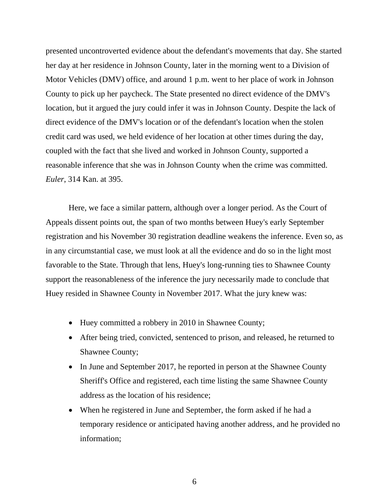presented uncontroverted evidence about the defendant's movements that day. She started her day at her residence in Johnson County, later in the morning went to a Division of Motor Vehicles (DMV) office, and around 1 p.m. went to her place of work in Johnson County to pick up her paycheck. The State presented no direct evidence of the DMV's location, but it argued the jury could infer it was in Johnson County. Despite the lack of direct evidence of the DMV's location or of the defendant's location when the stolen credit card was used, we held evidence of her location at other times during the day, coupled with the fact that she lived and worked in Johnson County, supported a reasonable inference that she was in Johnson County when the crime was committed. *Euler*, 314 Kan. at 395.

Here, we face a similar pattern, although over a longer period. As the Court of Appeals dissent points out, the span of two months between Huey's early September registration and his November 30 registration deadline weakens the inference. Even so, as in any circumstantial case, we must look at all the evidence and do so in the light most favorable to the State. Through that lens, Huey's long-running ties to Shawnee County support the reasonableness of the inference the jury necessarily made to conclude that Huey resided in Shawnee County in November 2017. What the jury knew was:

- Huey committed a robbery in 2010 in Shawnee County;
- After being tried, convicted, sentenced to prison, and released, he returned to Shawnee County;
- In June and September 2017, he reported in person at the Shawnee County Sheriff's Office and registered, each time listing the same Shawnee County address as the location of his residence;
- When he registered in June and September, the form asked if he had a temporary residence or anticipated having another address, and he provided no information;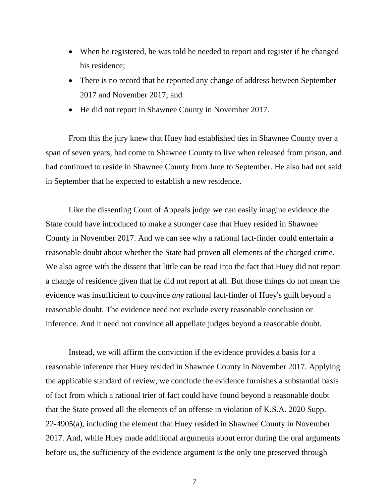- When he registered, he was told he needed to report and register if he changed his residence;
- There is no record that he reported any change of address between September 2017 and November 2017; and
- He did not report in Shawnee County in November 2017.

From this the jury knew that Huey had established ties in Shawnee County over a span of seven years, had come to Shawnee County to live when released from prison, and had continued to reside in Shawnee County from June to September. He also had not said in September that he expected to establish a new residence.

Like the dissenting Court of Appeals judge we can easily imagine evidence the State could have introduced to make a stronger case that Huey resided in Shawnee County in November 2017. And we can see why a rational fact-finder could entertain a reasonable doubt about whether the State had proven all elements of the charged crime. We also agree with the dissent that little can be read into the fact that Huey did not report a change of residence given that he did not report at all. But those things do not mean the evidence was insufficient to convince *any* rational fact-finder of Huey's guilt beyond a reasonable doubt. The evidence need not exclude every reasonable conclusion or inference. And it need not convince all appellate judges beyond a reasonable doubt.

Instead, we will affirm the conviction if the evidence provides a basis for a reasonable inference that Huey resided in Shawnee County in November 2017. Applying the applicable standard of review, we conclude the evidence furnishes a substantial basis of fact from which a rational trier of fact could have found beyond a reasonable doubt that the State proved all the elements of an offense in violation of K.S.A. 2020 Supp. 22-4905(a), including the element that Huey resided in Shawnee County in November 2017. And, while Huey made additional arguments about error during the oral arguments before us, the sufficiency of the evidence argument is the only one preserved through